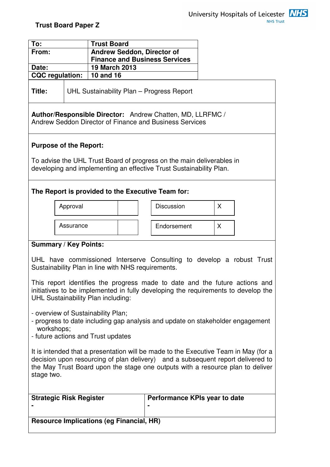| To:                                                                                                                                                                                                                                                                                                                                                                                                                                                                                                               |           | <b>Trust Board</b>                                    |  |  |                                    |  |   |  |  |
|-------------------------------------------------------------------------------------------------------------------------------------------------------------------------------------------------------------------------------------------------------------------------------------------------------------------------------------------------------------------------------------------------------------------------------------------------------------------------------------------------------------------|-----------|-------------------------------------------------------|--|--|------------------------------------|--|---|--|--|
| From:                                                                                                                                                                                                                                                                                                                                                                                                                                                                                                             |           | <b>Andrew Seddon, Director of</b>                     |  |  |                                    |  |   |  |  |
| Date:                                                                                                                                                                                                                                                                                                                                                                                                                                                                                                             |           | <b>Finance and Business Services</b><br>19 March 2013 |  |  |                                    |  |   |  |  |
| <b>CQC</b> regulation:                                                                                                                                                                                                                                                                                                                                                                                                                                                                                            |           | 10 and 16                                             |  |  |                                    |  |   |  |  |
| Title:                                                                                                                                                                                                                                                                                                                                                                                                                                                                                                            |           | UHL Sustainability Plan - Progress Report             |  |  |                                    |  |   |  |  |
| Author/Responsible Director: Andrew Chatten, MD, LLRFMC /<br>Andrew Seddon Director of Finance and Business Services                                                                                                                                                                                                                                                                                                                                                                                              |           |                                                       |  |  |                                    |  |   |  |  |
| <b>Purpose of the Report:</b><br>To advise the UHL Trust Board of progress on the main deliverables in                                                                                                                                                                                                                                                                                                                                                                                                            |           |                                                       |  |  |                                    |  |   |  |  |
| developing and implementing an effective Trust Sustainability Plan.                                                                                                                                                                                                                                                                                                                                                                                                                                               |           |                                                       |  |  |                                    |  |   |  |  |
| The Report is provided to the Executive Team for:                                                                                                                                                                                                                                                                                                                                                                                                                                                                 |           |                                                       |  |  |                                    |  |   |  |  |
|                                                                                                                                                                                                                                                                                                                                                                                                                                                                                                                   | Approval  |                                                       |  |  | <b>Discussion</b>                  |  | X |  |  |
|                                                                                                                                                                                                                                                                                                                                                                                                                                                                                                                   | Assurance |                                                       |  |  | Endorsement                        |  | X |  |  |
| <b>Summary / Key Points:</b>                                                                                                                                                                                                                                                                                                                                                                                                                                                                                      |           |                                                       |  |  |                                    |  |   |  |  |
| UHL have commissioned Interserve Consulting to develop a robust Trust<br>Sustainability Plan in line with NHS requirements.<br>This report identifies the progress made to date and the future actions and<br>initiatives to be implemented in fully developing the requirements to develop the<br>UHL Sustainability Plan including:<br>- overview of Sustainability Plan;<br>- progress to date including gap analysis and update on stakeholder engagement<br>workshops;<br>- future actions and Trust updates |           |                                                       |  |  |                                    |  |   |  |  |
| It is intended that a presentation will be made to the Executive Team in May (for a<br>decision upon resourcing of plan delivery) and a subsequent report delivered to<br>the May Trust Board upon the stage one outputs with a resource plan to deliver<br>stage two.                                                                                                                                                                                                                                            |           |                                                       |  |  |                                    |  |   |  |  |
| <b>Strategic Risk Register</b>                                                                                                                                                                                                                                                                                                                                                                                                                                                                                    |           |                                                       |  |  | Performance KPIs year to date<br>٠ |  |   |  |  |
|                                                                                                                                                                                                                                                                                                                                                                                                                                                                                                                   |           |                                                       |  |  |                                    |  |   |  |  |
| <b>Resource Implications (eg Financial, HR)</b>                                                                                                                                                                                                                                                                                                                                                                                                                                                                   |           |                                                       |  |  |                                    |  |   |  |  |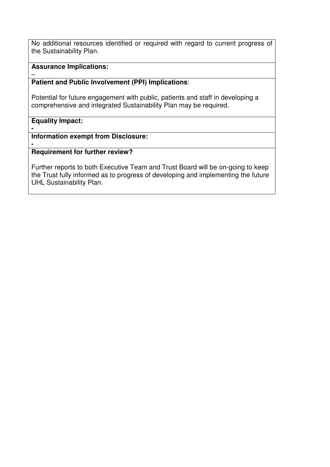No additional resources identified or required with regard to current progress of the Sustainability Plan.

## **Assurance Implications:**

#### – **Patient and Public Involvement (PPI) Implications**:

Potential for future engagement with public, patients and staff in developing a comprehensive and integrated Sustainability Plan may be required.

## **Equality Impact:**

**-** 

## **Information exempt from Disclosure:**

#### **- Requirement for further review?**

Further reports to both Executive Team and Trust Board will be on-going to keep the Trust fully informed as to progress of developing and implementing the future UHL Sustainability Plan.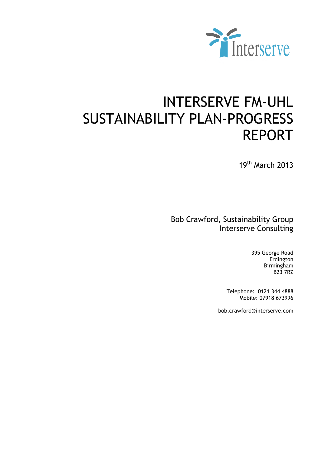

# INTERSERVE FM-UHL SUSTAINABILITY PLAN-PROGRESS REPORT

19th March 2013

Bob Crawford, Sustainability Group Interserve Consulting

> 395 George Road Erdington Birmingham B23 7RZ

Telephone: 0121 344 4888 Mobile: 07918 673996

bob.crawford@interserve.com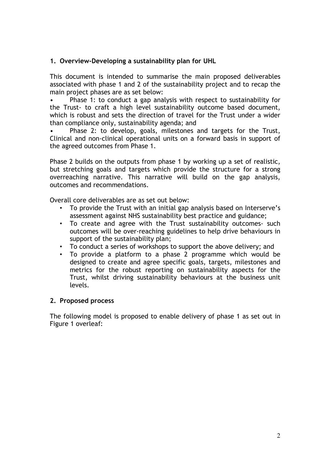## 1. Overview-Developing a sustainability plan for UHL

This document is intended to summarise the main proposed deliverables associated with phase 1 and 2 of the sustainability project and to recap the main project phases are as set below:

• Phase 1: to conduct a gap analysis with respect to sustainability for the Trust- to craft a high level sustainability outcome based document, which is robust and sets the direction of travel for the Trust under a wider than compliance only, sustainability agenda; and

• Phase 2: to develop, goals, milestones and targets for the Trust, Clinical and non-clinical operational units on a forward basis in support of the agreed outcomes from Phase 1.

Phase 2 builds on the outputs from phase 1 by working up a set of realistic, but stretching goals and targets which provide the structure for a strong overreaching narrative. This narrative will build on the gap analysis, outcomes and recommendations.

Overall core deliverables are as set out below:

- To provide the Trust with an initial gap analysis based on Interserve's assessment against NHS sustainability best practice and guidance;
- To create and agree with the Trust sustainability outcomes- such outcomes will be over-reaching guidelines to help drive behaviours in support of the sustainability plan;
- To conduct a series of workshops to support the above delivery; and
- To provide a platform to a phase 2 programme which would be designed to create and agree specific goals, targets, milestones and metrics for the robust reporting on sustainability aspects for the Trust, whilst driving sustainability behaviours at the business unit levels.

#### 2. Proposed process

The following model is proposed to enable delivery of phase 1 as set out in Figure 1 overleaf: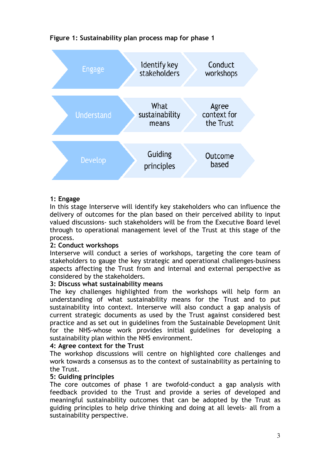

## Figure 1: Sustainability plan process map for phase 1

## 1: Engage

In this stage Interserve will identify key stakeholders who can influence the delivery of outcomes for the plan based on their perceived ability to input valued discussions- such stakeholders will be from the Executive Board level through to operational management level of the Trust at this stage of the process.

## 2: Conduct workshops

Interserve will conduct a series of workshops, targeting the core team of stakeholders to gauge the key strategic and operational challenges-business aspects affecting the Trust from and internal and external perspective as considered by the stakeholders.

#### 3: Discuss what sustainability means

The key challenges highlighted from the workshops will help form an understanding of what sustainability means for the Trust and to put sustainability into context. Interserve will also conduct a gap analysis of current strategic documents as used by the Trust against considered best practice and as set out in guidelines from the Sustainable Development Unit for the NHS-whose work provides initial guidelines for developing a sustainability plan within the NHS environment.

#### 4: Agree context for the Trust

The workshop discussions will centre on highlighted core challenges and work towards a consensus as to the context of sustainability as pertaining to the Trust.

#### 5: Guiding principles

The core outcomes of phase 1 are twofold-conduct a gap analysis with feedback provided to the Trust and provide a series of developed and meaningful sustainability outcomes that can be adopted by the Trust as guiding principles to help drive thinking and doing at all levels- all from a sustainability perspective.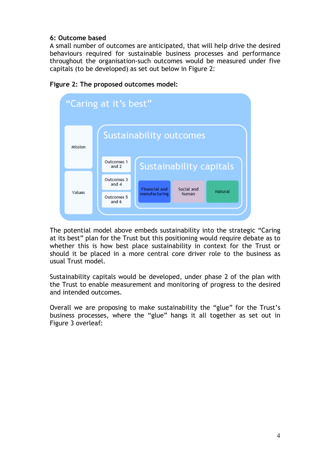## 6: Outcome based

A small number of outcomes are anticipated, that will help drive the desired behaviours required for sustainable business processes and performance throughout the organisation-such outcomes would be measured under five capitals (to be developed) as set out below in Figure 2:



Figure 2: The proposed outcomes model:

The potential model above embeds sustainability into the strategic "Caring at its best" plan for the Trust but this positioning would require debate as to whether this is how best place sustainability in context for the Trust or should it be placed in a more central core driver role to the business as usual Trust model.

Sustainability capitals would be developed, under phase 2 of the plan with the Trust to enable measurement and monitoring of progress to the desired and intended outcomes.

Overall we are proposing to make sustainability the "glue" for the Trust's business processes, where the "glue" hangs it all together as set out in Figure 3 overleaf: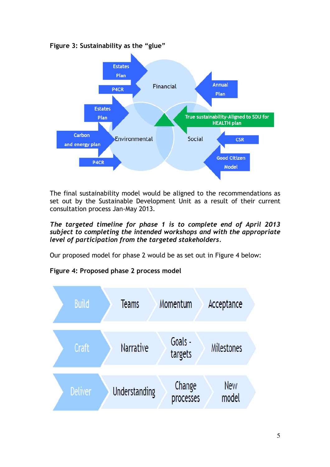



The final sustainability model would be aligned to the recommendations as set out by the Sustainable Development Unit as a result of their current consultation process Jan-May 2013.

The targeted timeline for phase 1 is to complete end of April 2013 subject to completing the intended workshops and with the appropriate level of participation from the targeted stakeholders.

Our proposed model for phase 2 would be as set out in Figure 4 below:

# Figure 4: Proposed phase 2 process model